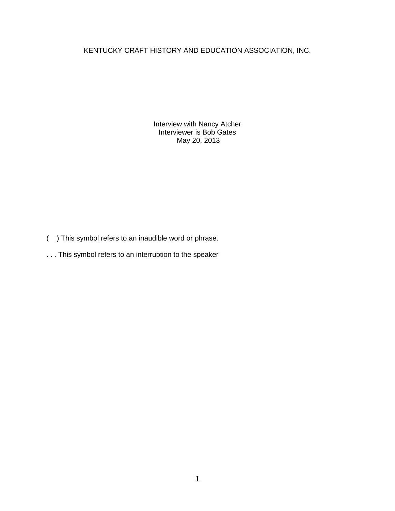KENTUCKY CRAFT HISTORY AND EDUCATION ASSOCIATION, INC.

Interview with Nancy Atcher Interviewer is Bob Gates May 20, 2013

- ( ) This symbol refers to an inaudible word or phrase.
- . . . This symbol refers to an interruption to the speaker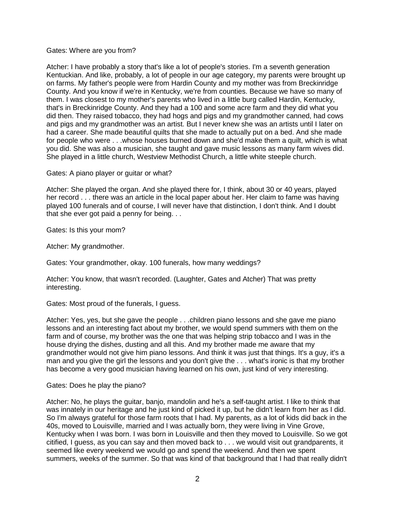### Gates: Where are you from?

Atcher: I have probably a story that's like a lot of people's stories. I'm a seventh generation Kentuckian. And like, probably, a lot of people in our age category, my parents were brought up on farms. My father's people were from Hardin County and my mother was from Breckinridge County. And you know if we're in Kentucky, we're from counties. Because we have so many of them. I was closest to my mother's parents who lived in a little burg called Hardin, Kentucky, that's in Breckinridge County. And they had a 100 and some acre farm and they did what you did then. They raised tobacco, they had hogs and pigs and my grandmother canned, had cows and pigs and my grandmother was an artist. But I never knew she was an artists until I later on had a career. She made beautiful quilts that she made to actually put on a bed. And she made for people who were . . .whose houses burned down and she'd make them a quilt, which is what you did. She was also a musician, she taught and gave music lessons as many farm wives did. She played in a little church, Westview Methodist Church, a little white steeple church.

Gates: A piano player or guitar or what?

Atcher: She played the organ. And she played there for, I think, about 30 or 40 years, played her record . . . there was an article in the local paper about her. Her claim to fame was having played 100 funerals and of course, I will never have that distinction, I don't think. And I doubt that she ever got paid a penny for being. . .

Gates: Is this your mom?

Atcher: My grandmother.

Gates: Your grandmother, okay. 100 funerals, how many weddings?

Atcher: You know, that wasn't recorded. (Laughter, Gates and Atcher) That was pretty interesting.

Gates: Most proud of the funerals, I guess.

Atcher: Yes, yes, but she gave the people . . .children piano lessons and she gave me piano lessons and an interesting fact about my brother, we would spend summers with them on the farm and of course, my brother was the one that was helping strip tobacco and I was in the house drying the dishes, dusting and all this. And my brother made me aware that my grandmother would not give him piano lessons. And think it was just that things. It's a guy, it's a man and you give the girl the lessons and you don't give the . . . what's ironic is that my brother has become a very good musician having learned on his own, just kind of very interesting.

### Gates: Does he play the piano?

Atcher: No, he plays the guitar, banjo, mandolin and he's a self-taught artist. I like to think that was innately in our heritage and he just kind of picked it up, but he didn't learn from her as I did. So I'm always grateful for those farm roots that I had. My parents, as a lot of kids did back in the 40s, moved to Louisville, married and I was actually born, they were living in Vine Grove, Kentucky when I was born. I was born in Louisville and then they moved to Louisville. So we got citified, I guess, as you can say and then moved back to . . . we would visit out grandparents, it seemed like every weekend we would go and spend the weekend. And then we spent summers, weeks of the summer. So that was kind of that background that I had that really didn't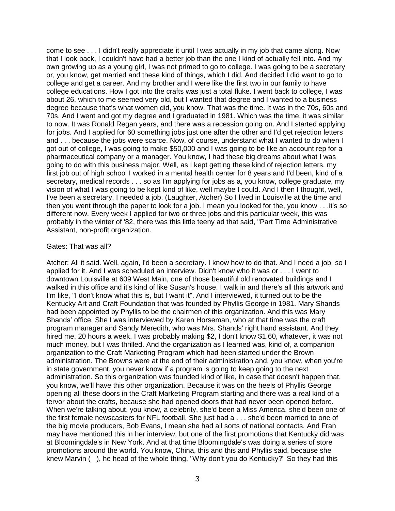come to see . . . I didn't really appreciate it until I was actually in my job that came along. Now that I look back, I couldn't have had a better job than the one I kind of actually fell into. And my own growing up as a young girl, I was not primed to go to college. I was going to be a secretary or, you know, get married and these kind of things, which I did. And decided I did want to go to college and get a career. And my brother and I were like the first two in our family to have college educations. How I got into the crafts was just a total fluke. I went back to college, I was about 26, which to me seemed very old, but I wanted that degree and I wanted to a business degree because that's what women did, you know. That was the time. It was in the 70s, 60s and 70s. And I went and got my degree and I graduated in 1981. Which was the time, it was similar to now. It was Ronald Regan years, and there was a recession going on. And I started applying for jobs. And I applied for 60 something jobs just one after the other and I'd get rejection letters and . . . because the jobs were scarce. Now, of course, understand what I wanted to do when I got out of college, I was going to make \$50,000 and I was going to be like an account rep for a pharmaceutical company or a manager. You know, I had these big dreams about what I was going to do with this business major. Well, as I kept getting these kind of rejection letters, my first job out of high school I worked in a mental health center for 8 years and I'd been, kind of a secretary, medical records . . . so as I'm applying for jobs as a, you know, college graduate, my vision of what I was going to be kept kind of like, well maybe I could. And I then I thought, well, I've been a secretary, I needed a job. (Laughter, Atcher) So I lived in Louisville at the time and then you went through the paper to look for a job. I mean you looked for the, you know . . .it's so different now. Every week I applied for two or three jobs and this particular week, this was probably in the winter of '82, there was this little teeny ad that said, "Part Time Administrative Assistant, non-profit organization.

### Gates: That was all?

Atcher: All it said. Well, again, I'd been a secretary. I know how to do that. And I need a job, so I applied for it. And I was scheduled an interview. Didn't know who it was or . . . I went to downtown Louisville at 609 West Main, one of those beautiful old renovated buildings and I walked in this office and it's kind of like Susan's house. I walk in and there's all this artwork and I'm like, "I don't know what this is, but I want it". And I interviewed, it turned out to be the Kentucky Art and Craft Foundation that was founded by Phyllis George in 1981. Mary Shands had been appointed by Phyllis to be the chairmen of this organization. And this was Mary Shands' office. She I was interviewed by Karen Horseman, who at that time was the craft program manager and Sandy Meredith, who was Mrs. Shands' right hand assistant. And they hired me. 20 hours a week. I was probably making \$2, I don't know \$1.60, whatever, it was not much money, but I was thrilled. And the organization as I learned was, kind of, a companion organization to the Craft Marketing Program which had been started under the Brown administration. The Browns were at the end of their administration and, you know, when you're in state government, you never know if a program is going to keep going to the next administration. So this organization was founded kind of like, in case that doesn't happen that, you know, we'll have this other organization. Because it was on the heels of Phyllis George opening all these doors in the Craft Marketing Program starting and there was a real kind of a fervor about the crafts, because she had opened doors that had never been opened before. When we're talking about, you know, a celebrity, she'd been a Miss America, she'd been one of the first female newscasters for NFL football. She just had a . . . she'd been married to one of the big movie producers, Bob Evans, I mean she had all sorts of national contacts. And Fran may have mentioned this in her interview, but one of the first promotions that Kentucky did was at Bloomingdale's in New York. And at that time Bloomingdale's was doing a series of store promotions around the world. You know, China, this and this and Phyllis said, because she knew Marvin ( ), he head of the whole thing, "Why don't you do Kentucky?" So they had this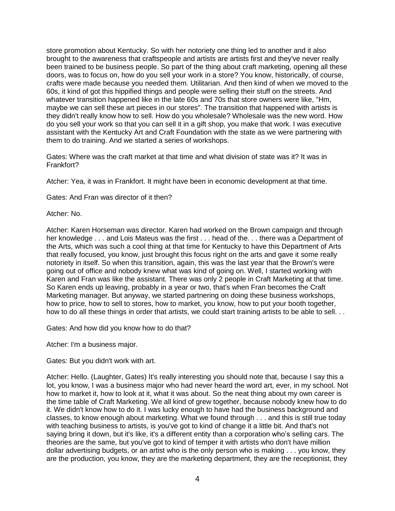store promotion about Kentucky. So with her notoriety one thing led to another and it also brought to the awareness that craftspeople and artists are artists first and they've never really been trained to be business people. So part of the thing about craft marketing, opening all these doors, was to focus on, how do you sell your work in a store? You know, historically, of course, crafts were made because you needed them. Utilitarian. And then kind of when we moved to the 60s, it kind of got this hippified things and people were selling their stuff on the streets. And whatever transition happened like in the late 60s and 70s that store owners were like, "Hm, maybe we can sell these art pieces in our stores". The transition that happened with artists is they didn't really know how to sell. How do you wholesale? Wholesale was the new word. How do you sell your work so that you can sell it in a gift shop, you make that work. I was executive assistant with the Kentucky Art and Craft Foundation with the state as we were partnering with them to do training. And we started a series of workshops.

Gates: Where was the craft market at that time and what division of state was it? It was in Frankfort?

Atcher: Yea, it was in Frankfort. It might have been in economic development at that time.

Gates: And Fran was director of it then?

Atcher: No.

Atcher: Karen Horseman was director. Karen had worked on the Brown campaign and through her knowledge . . . and Lois Mateus was the first . . . head of the. . . there was a Department of the Arts, which was such a cool thing at that time for Kentucky to have this Department of Arts that really focused, you know, just brought this focus right on the arts and gave it some really notoriety in itself. So when this transition, again, this was the last year that the Brown's were going out of office and nobody knew what was kind of going on. Well, I started working with Karen and Fran was like the assistant. There was only 2 people in Craft Marketing at that time. So Karen ends up leaving, probably in a year or two, that's when Fran becomes the Craft Marketing manager. But anyway, we started partnering on doing these business workshops, how to price, how to sell to stores, how to market, you know, how to put your booth together, how to do all these things in order that artists, we could start training artists to be able to sell. . .

Gates: And how did you know how to do that?

Atcher: I'm a business major.

Gates: But you didn't work with art.

Atcher: Hello. (Laughter, Gates) It's really interesting you should note that, because I say this a lot, you know, I was a business major who had never heard the word art, ever, in my school. Not how to market it, how to look at it, what it was about. So the neat thing about my own career is the time table of Craft Marketing. We all kind of grew together, because nobody knew how to do it. We didn't know how to do it. I was lucky enough to have had the business background and classes, to know enough about marketing. What we found through . . . and this is still true today with teaching business to artists, is you've got to kind of change it a little bit. And that's not saying bring it down, but it's like, it's a different entity than a corporation who's selling cars. The theories are the same, but you've got to kind of temper it with artists who don't have million dollar advertising budgets, or an artist who is the only person who is making . . . you know, they are the production, you know, they are the marketing department, they are the receptionist, they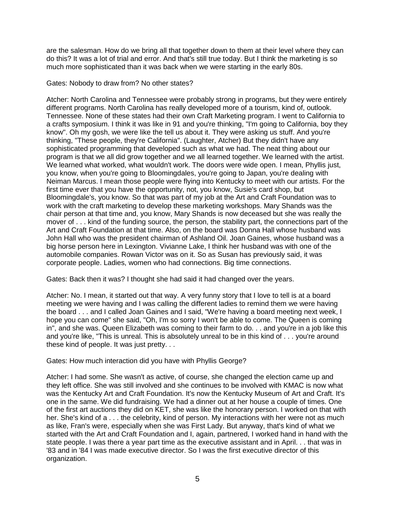are the salesman. How do we bring all that together down to them at their level where they can do this? It was a lot of trial and error. And that's still true today. But I think the marketing is so much more sophisticated than it was back when we were starting in the early 80s.

Gates: Nobody to draw from? No other states?

Atcher: North Carolina and Tennessee were probably strong in programs, but they were entirely different programs. North Carolina has really developed more of a tourism, kind of, outlook. Tennessee. None of these states had their own Craft Marketing program. I went to California to a crafts symposium. I think it was like in 91 and you're thinking, "I'm going to California, boy they know". Oh my gosh, we were like the tell us about it. They were asking us stuff. And you're thinking, "These people, they're California". (Laughter, Atcher) But they didn't have any sophisticated programming that developed such as what we had. The neat thing about our program is that we all did grow together and we all learned together. We learned with the artist. We learned what worked, what wouldn't work. The doors were wide open. I mean, Phyllis just, you know, when you're going to Bloomingdales, you're going to Japan, you're dealing with Neiman Marcus. I mean those people were flying into Kentucky to meet with our artists. For the first time ever that you have the opportunity, not, you know, Susie's card shop, but Bloomingdale's, you know. So that was part of my job at the Art and Craft Foundation was to work with the craft marketing to develop these marketing workshops. Mary Shands was the chair person at that time and, you know, Mary Shands is now deceased but she was really the mover of . . . kind of the funding source, the person, the stability part, the connections part of the Art and Craft Foundation at that time. Also, on the board was Donna Hall whose husband was John Hall who was the president chairman of Ashland Oil. Joan Gaines, whose husband was a big horse person here in Lexington. Vivianne Lake, I think her husband was with one of the automobile companies. Rowan Victor was on it. So as Susan has previously said, it was corporate people. Ladies, women who had connections. Big time connections.

Gates: Back then it was? I thought she had said it had changed over the years.

Atcher: No. I mean, it started out that way. A very funny story that I love to tell is at a board meeting we were having and I was calling the different ladies to remind them we were having the board . . . and I called Joan Gaines and I said, "We're having a board meeting next week, I hope you can come" she said, "Oh, I'm so sorry I won't be able to come. The Queen is coming in", and she was. Queen Elizabeth was coming to their farm to do. . . and you're in a job like this and you're like, "This is unreal. This is absolutely unreal to be in this kind of . . . you're around these kind of people. It was just pretty. . .

Gates: How much interaction did you have with Phyllis George?

Atcher: I had some. She wasn't as active, of course, she changed the election came up and they left office. She was still involved and she continues to be involved with KMAC is now what was the Kentucky Art and Craft Foundation. It's now the Kentucky Museum of Art and Craft. It's one in the same. We did fundraising. We had a dinner out at her house a couple of times. One of the first art auctions they did on KET, she was like the honorary person. I worked on that with her. She's kind of a . . . the celebrity, kind of person. My interactions with her were not as much as like, Fran's were, especially when she was First Lady. But anyway, that's kind of what we started with the Art and Craft Foundation and I, again, partnered, I worked hand in hand with the state people. I was there a year part time as the executive assistant and in April. . . that was in '83 and in '84 I was made executive director. So I was the first executive director of this organization.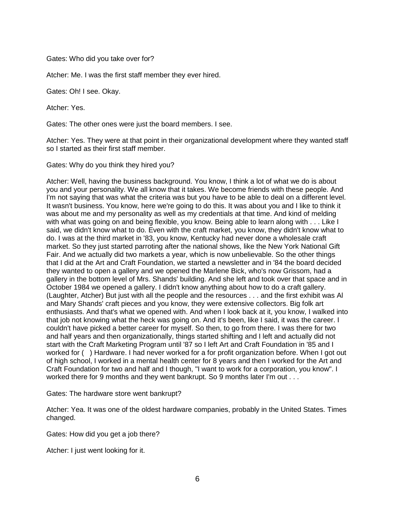Gates: Who did you take over for?

Atcher: Me. I was the first staff member they ever hired.

Gates: Oh! I see. Okay.

Atcher: Yes.

Gates: The other ones were just the board members. I see.

Atcher: Yes. They were at that point in their organizational development where they wanted staff so I started as their first staff member.

Gates: Why do you think they hired you?

Atcher: Well, having the business background. You know, I think a lot of what we do is about you and your personality. We all know that it takes. We become friends with these people. And I'm not saying that was what the criteria was but you have to be able to deal on a different level. It wasn't business. You know, here we're going to do this. It was about you and I like to think it was about me and my personality as well as my credentials at that time. And kind of melding with what was going on and being flexible, you know. Being able to learn along with . . . Like I said, we didn't know what to do. Even with the craft market, you know, they didn't know what to do. I was at the third market in '83, you know, Kentucky had never done a wholesale craft market. So they just started parroting after the national shows, like the New York National Gift Fair. And we actually did two markets a year, which is now unbelievable. So the other things that I did at the Art and Craft Foundation, we started a newsletter and in '84 the board decided they wanted to open a gallery and we opened the Marlene Bick, who's now Grissom, had a gallery in the bottom level of Mrs. Shands' building. And she left and took over that space and in October 1984 we opened a gallery. I didn't know anything about how to do a craft gallery. (Laughter, Atcher) But just with all the people and the resources . . . and the first exhibit was Al and Mary Shands' craft pieces and you know, they were extensive collectors. Big folk art enthusiasts. And that's what we opened with. And when I look back at it, you know, I walked into that job not knowing what the heck was going on. And it's been, like I said, it was the career. I couldn't have picked a better career for myself. So then, to go from there. I was there for two and half years and then organizationally, things started shifting and I left and actually did not start with the Craft Marketing Program until '87 so I left Art and Craft Foundation in '85 and I worked for ( ) Hardware. I had never worked for a for profit organization before. When I got out of high school, I worked in a mental health center for 8 years and then I worked for the Art and Craft Foundation for two and half and I though, "I want to work for a corporation, you know". I worked there for 9 months and they went bankrupt. So 9 months later I'm out . . .

Gates: The hardware store went bankrupt?

Atcher: Yea. It was one of the oldest hardware companies, probably in the United States. Times changed.

Gates: How did you get a job there?

Atcher: I just went looking for it.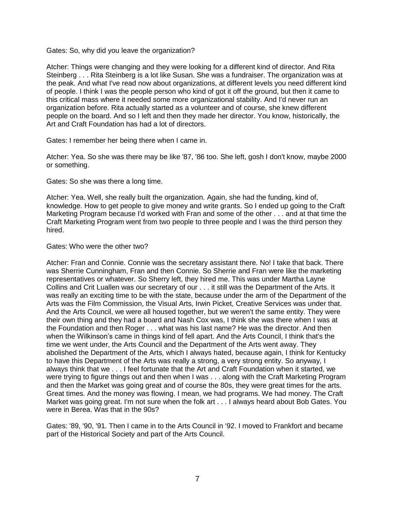Gates: So, why did you leave the organization?

Atcher: Things were changing and they were looking for a different kind of director. And Rita Steinberg . . . Rita Steinberg is a lot like Susan. She was a fundraiser. The organization was at the peak. And what I've read now about organizations, at different levels you need different kind of people. I think I was the people person who kind of got it off the ground, but then it came to this critical mass where it needed some more organizational stability. And I'd never run an organization before. Rita actually started as a volunteer and of course, she knew different people on the board. And so I left and then they made her director. You know, historically, the Art and Craft Foundation has had a lot of directors.

Gates: I remember her being there when I came in.

Atcher: Yea. So she was there may be like '87, '86 too. She left, gosh I don't know, maybe 2000 or something.

Gates: So she was there a long time.

Atcher: Yea. Well, she really built the organization. Again, she had the funding, kind of, knowledge. How to get people to give money and write grants. So I ended up going to the Craft Marketing Program because I'd worked with Fran and some of the other . . . and at that time the Craft Marketing Program went from two people to three people and I was the third person they hired.

Gates: Who were the other two?

Atcher: Fran and Connie. Connie was the secretary assistant there. No! I take that back. There was Sherrie Cunningham, Fran and then Connie. So Sherrie and Fran were like the marketing representatives or whatever. So Sherry left, they hired me. This was under Martha Layne Collins and Crit Luallen was our secretary of our . . . it still was the Department of the Arts. It was really an exciting time to be with the state, because under the arm of the Department of the Arts was the Film Commission, the Visual Arts, Irwin Picket, Creative Services was under that. And the Arts Council, we were all housed together, but we weren't the same entity. They were their own thing and they had a board and Nash Cox was, I think she was there when I was at the Foundation and then Roger . . . what was his last name? He was the director. And then when the Wilkinson's came in things kind of fell apart. And the Arts Council, I think that's the time we went under, the Arts Council and the Department of the Arts went away. They abolished the Department of the Arts, which I always hated, because again, I think for Kentucky to have this Department of the Arts was really a strong, a very strong entity. So anyway, I always think that we . . . I feel fortunate that the Art and Craft Foundation when it started, we were trying to figure things out and then when I was . . . along with the Craft Marketing Program and then the Market was going great and of course the 80s, they were great times for the arts. Great times. And the money was flowing. I mean, we had programs. We had money. The Craft Market was going great. I'm not sure when the folk art . . . I always heard about Bob Gates. You were in Berea. Was that in the 90s?

Gates: '89, '90, '91. Then I came in to the Arts Council in '92. I moved to Frankfort and became part of the Historical Society and part of the Arts Council.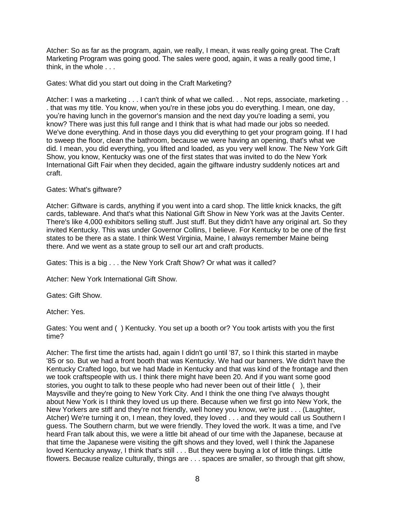Atcher: So as far as the program, again, we really, I mean, it was really going great. The Craft Marketing Program was going good. The sales were good, again, it was a really good time, I think, in the whole . . .

Gates: What did you start out doing in the Craft Marketing?

Atcher: I was a marketing . . . I can't think of what we called. . . Not reps, associate, marketing . . . that was my title. You know, when you're in these jobs you do everything. I mean, one day, you're having lunch in the governor's mansion and the next day you're loading a semi, you know? There was just this full range and I think that is what had made our jobs so needed. We've done everything. And in those days you did everything to get your program going. If I had to sweep the floor, clean the bathroom, because we were having an opening, that's what we did. I mean, you did everything, you lifted and loaded, as you very well know. The New York Gift Show, you know, Kentucky was one of the first states that was invited to do the New York International Gift Fair when they decided, again the giftware industry suddenly notices art and craft.

## Gates: What's giftware?

Atcher: Giftware is cards, anything if you went into a card shop. The little knick knacks, the gift cards, tableware. And that's what this National Gift Show in New York was at the Javits Center. There's like 4,000 exhibitors selling stuff. Just stuff. But they didn't have any original art. So they invited Kentucky. This was under Governor Collins, I believe. For Kentucky to be one of the first states to be there as a state. I think West Virginia, Maine, I always remember Maine being there. And we went as a state group to sell our art and craft products.

Gates: This is a big . . . the New York Craft Show? Or what was it called?

Atcher: New York International Gift Show.

Gates: Gift Show.

Atcher: Yes.

Gates: You went and ( ) Kentucky. You set up a booth or? You took artists with you the first time?

Atcher: The first time the artists had, again I didn't go until '87, so I think this started in maybe '85 or so. But we had a front booth that was Kentucky. We had our banners. We didn't have the Kentucky Crafted logo, but we had Made in Kentucky and that was kind of the frontage and then we took craftspeople with us. I think there might have been 20. And if you want some good stories, you ought to talk to these people who had never been out of their little ( ), their Maysville and they're going to New York City. And I think the one thing I've always thought about New York is I think they loved us up there. Because when we first go into New York, the New Yorkers are stiff and they're not friendly, well honey you know, we're just . . . (Laughter, Atcher) We're turning it on, I mean, they loved, they loved . . . and they would call us Southern I guess. The Southern charm, but we were friendly. They loved the work. It was a time, and I've heard Fran talk about this, we were a little bit ahead of our time with the Japanese, because at that time the Japanese were visiting the gift shows and they loved, well I think the Japanese loved Kentucky anyway, I think that's still . . . But they were buying a lot of little things. Little flowers. Because realize culturally, things are . . . spaces are smaller, so through that gift show,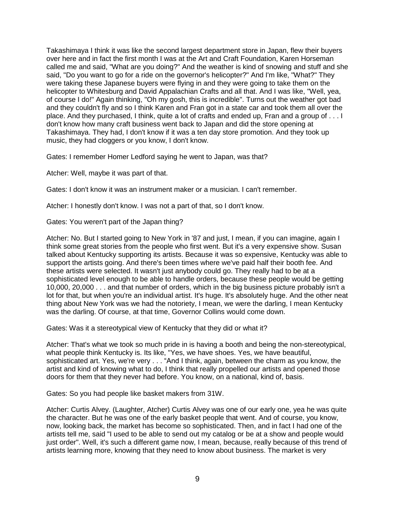Takashimaya I think it was like the second largest department store in Japan, flew their buyers over here and in fact the first month I was at the Art and Craft Foundation, Karen Horseman called me and said, "What are you doing?" And the weather is kind of snowing and stuff and she said, "Do you want to go for a ride on the governor's helicopter?" And I'm like, "What?" They were taking these Japanese buyers were flying in and they were going to take them on the helicopter to Whitesburg and David Appalachian Crafts and all that. And I was like, "Well, yea, of course I do!" Again thinking, "Oh my gosh, this is incredible". Turns out the weather got bad and they couldn't fly and so I think Karen and Fran got in a state car and took them all over the place. And they purchased, I think, quite a lot of crafts and ended up, Fran and a group of . . . I don't know how many craft business went back to Japan and did the store opening at Takashimaya. They had, I don't know if it was a ten day store promotion. And they took up music, they had cloggers or you know, I don't know.

Gates: I remember Homer Ledford saying he went to Japan, was that?

Atcher: Well, maybe it was part of that.

Gates: I don't know it was an instrument maker or a musician. I can't remember.

Atcher: I honestly don't know. I was not a part of that, so I don't know.

Gates: You weren't part of the Japan thing?

Atcher: No. But I started going to New York in '87 and just, I mean, if you can imagine, again I think some great stories from the people who first went. But it's a very expensive show. Susan talked about Kentucky supporting its artists. Because it was so expensive, Kentucky was able to support the artists going. And there's been times where we've paid half their booth fee. And these artists were selected. It wasn't just anybody could go. They really had to be at a sophisticated level enough to be able to handle orders, because these people would be getting 10,000, 20,000 . . . and that number of orders, which in the big business picture probably isn't a lot for that, but when you're an individual artist. It's huge. It's absolutely huge. And the other neat thing about New York was we had the notoriety, I mean, we were the darling, I mean Kentucky was the darling. Of course, at that time, Governor Collins would come down.

Gates: Was it a stereotypical view of Kentucky that they did or what it?

Atcher: That's what we took so much pride in is having a booth and being the non-stereotypical, what people think Kentucky is. Its like, "Yes, we have shoes. Yes, we have beautiful, sophisticated art. Yes, we're very . . . "And I think, again, between the charm as you know, the artist and kind of knowing what to do, I think that really propelled our artists and opened those doors for them that they never had before. You know, on a national, kind of, basis.

Gates: So you had people like basket makers from 31W.

Atcher: Curtis Alvey. (Laughter, Atcher) Curtis Alvey was one of our early one, yea he was quite the character. But he was one of the early basket people that went. And of course, you know, now, looking back, the market has become so sophisticated. Then, and in fact I had one of the artists tell me, said "I used to be able to send out my catalog or be at a show and people would just order". Well, it's such a different game now, I mean, because, really because of this trend of artists learning more, knowing that they need to know about business. The market is very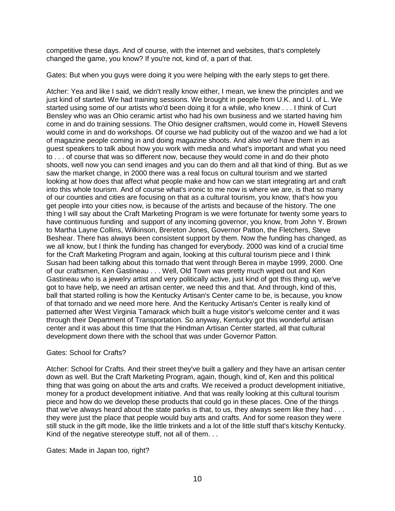competitive these days. And of course, with the internet and websites, that's completely changed the game, you know? If you're not, kind of, a part of that.

Gates: But when you guys were doing it you were helping with the early steps to get there.

Atcher: Yea and like I said, we didn't really know either, I mean, we knew the principles and we just kind of started. We had training sessions. We brought in people from U.K. and U. of L. We started using some of our artists who'd been doing it for a while, who knew . . . I think of Curt Bensley who was an Ohio ceramic artist who had his own business and we started having him come in and do training sessions. The Ohio designer craftsmen, would come in, Howell Stevens would come in and do workshops. Of course we had publicity out of the wazoo and we had a lot of magazine people coming in and doing magazine shoots. And also we'd have them in as guest speakers to talk about how you work with media and what's important and what you need to . . . of course that was so different now, because they would come in and do their photo shoots, well now you can send images and you can do them and all that kind of thing. But as we saw the market change, in 2000 there was a real focus on cultural tourism and we started looking at how does that affect what people make and how can we start integrating art and craft into this whole tourism. And of course what's ironic to me now is where we are, is that so many of our counties and cities are focusing on that as a cultural tourism, you know, that's how you get people into your cities now, is because of the artists and because of the history. The one thing I will say about the Craft Marketing Program is we were fortunate for twenty some years to have continuous funding and support of any incoming governor, you know, from John Y. Brown to Martha Layne Collins, Wilkinson, Brereton Jones, Governor Patton, the Fletchers, Steve Beshear. There has always been consistent support by them. Now the funding has changed, as we all know, but I think the funding has changed for everybody. 2000 was kind of a crucial time for the Craft Marketing Program and again, looking at this cultural tourism piece and I think Susan had been talking about this tornado that went through Berea in maybe 1999, 2000. One of our craftsmen, Ken Gastineau . . . Well, Old Town was pretty much wiped out and Ken Gastineau who is a jewelry artist and very politically active, just kind of got this thing up, we've got to have help, we need an artisan center, we need this and that. And through, kind of this, ball that started rolling is how the Kentucky Artisan's Center came to be, is because, you know of that tornado and we need more here. And the Kentucky Artisan's Center is really kind of patterned after West Virginia Tamarack which built a huge visitor's welcome center and it was through their Department of Transportation. So anyway, Kentucky got this wonderful artisan center and it was about this time that the Hindman Artisan Center started, all that cultural development down there with the school that was under Governor Patton.

# Gates: School for Crafts?

Atcher: School for Crafts. And their street they've built a gallery and they have an artisan center down as well. But the Craft Marketing Program, again, though, kind of, Ken and this political thing that was going on about the arts and crafts. We received a product development initiative, money for a product development initiative. And that was really looking at this cultural tourism piece and how do we develop these products that could go in these places. One of the things that we've always heard about the state parks is that, to us, they always seem like they had . . . they were just the place that people would buy arts and crafts. And for some reason they were still stuck in the gift mode, like the little trinkets and a lot of the little stuff that's kitschy Kentucky. Kind of the negative stereotype stuff, not all of them. . .

Gates: Made in Japan too, right?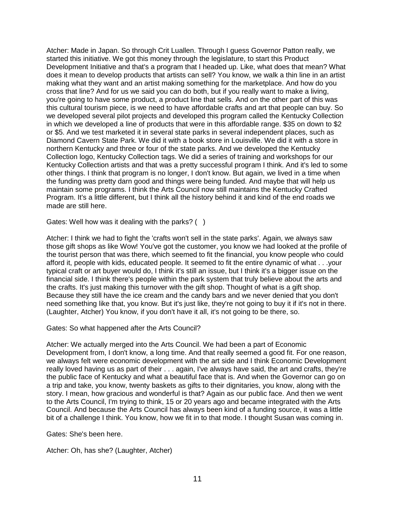Atcher: Made in Japan. So through Crit Luallen. Through I guess Governor Patton really, we started this initiative. We got this money through the legislature, to start this Product Development Initiative and that's a program that I headed up. Like, what does that mean? What does it mean to develop products that artists can sell? You know, we walk a thin line in an artist making what they want and an artist making something for the marketplace. And how do you cross that line? And for us we said you can do both, but if you really want to make a living, you're going to have some product, a product line that sells. And on the other part of this was this cultural tourism piece, is we need to have affordable crafts and art that people can buy. So we developed several pilot projects and developed this program called the Kentucky Collection in which we developed a line of products that were in this affordable range. \$35 on down to \$2 or \$5. And we test marketed it in several state parks in several independent places, such as Diamond Cavern State Park. We did it with a book store in Louisville. We did it with a store in northern Kentucky and three or four of the state parks. And we developed the Kentucky Collection logo, Kentucky Collection tags. We did a series of training and workshops for our Kentucky Collection artists and that was a pretty successful program I think. And it's led to some other things. I think that program is no longer, I don't know. But again, we lived in a time when the funding was pretty darn good and things were being funded. And maybe that will help us maintain some programs. I think the Arts Council now still maintains the Kentucky Crafted Program. It's a little different, but I think all the history behind it and kind of the end roads we made are still here.

Gates: Well how was it dealing with the parks? ()

Atcher: I think we had to fight the 'crafts won't sell in the state parks'. Again, we always saw those gift shops as like Wow! You've got the customer, you know we had looked at the profile of the tourist person that was there, which seemed to fit the financial, you know people who could afford it, people with kids, educated people. It seemed to fit the entire dynamic of what . . .your typical craft or art buyer would do, I think it's still an issue, but I think it's a bigger issue on the financial side. I think there's people within the park system that truly believe about the arts and the crafts. It's just making this turnover with the gift shop. Thought of what is a gift shop. Because they still have the ice cream and the candy bars and we never denied that you don't need something like that, you know. But it's just like, they're not going to buy it if it's not in there. (Laughter, Atcher) You know, if you don't have it all, it's not going to be there, so.

Gates: So what happened after the Arts Council?

Atcher: We actually merged into the Arts Council. We had been a part of Economic Development from, I don't know, a long time. And that really seemed a good fit. For one reason, we always felt were economic development with the art side and I think Economic Development really loved having us as part of their . . . again, I've always have said, the art and crafts, they're the public face of Kentucky and what a beautiful face that is. And when the Governor can go on a trip and take, you know, twenty baskets as gifts to their dignitaries, you know, along with the story. I mean, how gracious and wonderful is that? Again as our public face. And then we went to the Arts Council, I'm trying to think, 15 or 20 years ago and became integrated with the Arts Council. And because the Arts Council has always been kind of a funding source, it was a little bit of a challenge I think. You know, how we fit in to that mode. I thought Susan was coming in.

Gates: She's been here.

Atcher: Oh, has she? (Laughter, Atcher)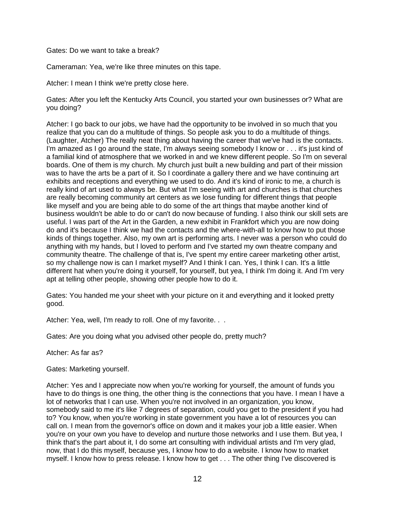Gates: Do we want to take a break?

Cameraman: Yea, we're like three minutes on this tape.

Atcher: I mean I think we're pretty close here.

Gates: After you left the Kentucky Arts Council, you started your own businesses or? What are you doing?

Atcher: I go back to our jobs, we have had the opportunity to be involved in so much that you realize that you can do a multitude of things. So people ask you to do a multitude of things. (Laughter, Atcher) The really neat thing about having the career that we've had is the contacts. I'm amazed as I go around the state, I'm always seeing somebody I know or . . . it's just kind of a familial kind of atmosphere that we worked in and we knew different people. So I'm on several boards. One of them is my church. My church just built a new building and part of their mission was to have the arts be a part of it. So I coordinate a gallery there and we have continuing art exhibits and receptions and everything we used to do. And it's kind of ironic to me, a church is really kind of art used to always be. But what I'm seeing with art and churches is that churches are really becoming community art centers as we lose funding for different things that people like myself and you are being able to do some of the art things that maybe another kind of business wouldn't be able to do or can't do now because of funding. I also think our skill sets are useful. I was part of the Art in the Garden, a new exhibit in Frankfort which you are now doing do and it's because I think we had the contacts and the where-with-all to know how to put those kinds of things together. Also, my own art is performing arts. I never was a person who could do anything with my hands, but I loved to perform and I've started my own theatre company and community theatre. The challenge of that is, I've spent my entire career marketing other artist, so my challenge now is can I market myself? And I think I can. Yes, I think I can. It's a little different hat when you're doing it yourself, for yourself, but yea, I think I'm doing it. And I'm very apt at telling other people, showing other people how to do it.

Gates: You handed me your sheet with your picture on it and everything and it looked pretty good.

Atcher: Yea, well, I'm ready to roll. One of my favorite. . .

Gates: Are you doing what you advised other people do, pretty much?

Atcher: As far as?

Gates: Marketing yourself.

Atcher: Yes and I appreciate now when you're working for yourself, the amount of funds you have to do things is one thing, the other thing is the connections that you have. I mean I have a lot of networks that I can use. When you're not involved in an organization, you know, somebody said to me it's like 7 degrees of separation, could you get to the president if you had to? You know, when you're working in state government you have a lot of resources you can call on. I mean from the governor's office on down and it makes your job a little easier. When you're on your own you have to develop and nurture those networks and I use them. But yea, I think that's the part about it, I do some art consulting with individual artists and I'm very glad, now, that I do this myself, because yes, I know how to do a website. I know how to market myself. I know how to press release. I know how to get . . . The other thing I've discovered is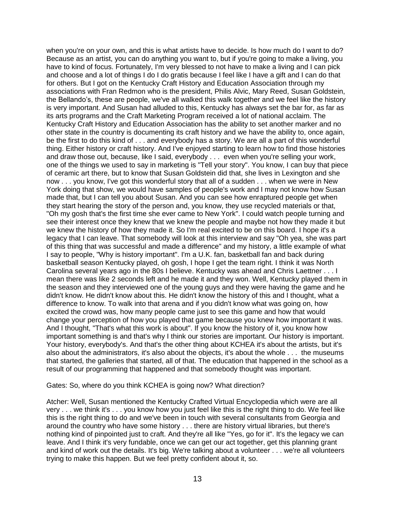when you're on your own, and this is what artists have to decide. Is how much do I want to do? Because as an artist, you can do anything you want to, but if you're going to make a living, you have to kind of focus. Fortunately, I'm very blessed to not have to make a living and I can pick and choose and a lot of things I do I do gratis because I feel like I have a gift and I can do that for others. But I got on the Kentucky Craft History and Education Association through my associations with Fran Redmon who is the president, Philis Alvic, Mary Reed, Susan Goldstein, the Bellando's, these are people, we've all walked this walk together and we feel like the history is very important. And Susan had alluded to this, Kentucky has always set the bar for, as far as its arts programs and the Craft Marketing Program received a lot of national acclaim. The Kentucky Craft History and Education Association has the ability to set another marker and no other state in the country is documenting its craft history and we have the ability to, once again, be the first to do this kind of . . . and everybody has a story. We are all a part of this wonderful thing. Either history or craft history. And I've enjoyed starting to learn how to find those histories and draw those out, because, like I said, everybody . . . even when you're selling your work, one of the things we used to say in marketing is "Tell your story". You know, I can buy that piece of ceramic art there, but to know that Susan Goldstein did that, she lives in Lexington and she now . . . you know, I've got this wonderful story that all of a sudden . . . when we were in New York doing that show, we would have samples of people's work and I may not know how Susan made that, but I can tell you about Susan. And you can see how enraptured people get when they start hearing the story of the person and, you know, they use recycled materials or that, "Oh my gosh that's the first time she ever came to New York". I could watch people turning and see their interest once they knew that we knew the people and maybe not how they made it but we knew the history of how they made it. So I'm real excited to be on this board. I hope it's a legacy that I can leave. That somebody will look at this interview and say "Oh yea, she was part of this thing that was successful and made a difference" and my history, a little example of what I say to people, "Why is history important". I'm a U.K. fan, basketball fan and back during basketball season Kentucky played, oh gosh, I hope I get the team right. I think it was North Carolina several years ago in the 80s I believe. Kentucky was ahead and Chris Laettner . . . I mean there was like 2 seconds left and he made it and they won. Well, Kentucky played them in the season and they interviewed one of the young guys and they were having the game and he didn't know. He didn't know about this. He didn't know the history of this and I thought, what a difference to know. To walk into that arena and if you didn't know what was going on, how excited the crowd was, how many people came just to see this game and how that would change your perception of how you played that game because you knew how important it was. And I thought, "That's what this work is about". If you know the history of it, you know how important something is and that's why I think our stories are important. Our history is important. Your history, everybody's. And that's the other thing about KCHEA it's about the artists, but it's also about the administrators, it's also about the objects, it's about the whole . . . the museums that started, the galleries that started, all of that. The education that happened in the school as a result of our programming that happened and that somebody thought was important.

Gates: So, where do you think KCHEA is going now? What direction?

Atcher: Well, Susan mentioned the Kentucky Crafted Virtual Encyclopedia which were are all very . . . we think it's . . . you know how you just feel like this is the right thing to do. We feel like this is the right thing to do and we've been in touch with several consultants from Georgia and around the country who have some history . . . there are history virtual libraries, but there's nothing kind of pinpointed just to craft. And they're all like "Yes, go for it". It's the legacy we can leave. And I think it's very fundable, once we can get our act together, get this planning grant and kind of work out the details. It's big. We're talking about a volunteer . . . we're all volunteers trying to make this happen. But we feel pretty confident about it, so.